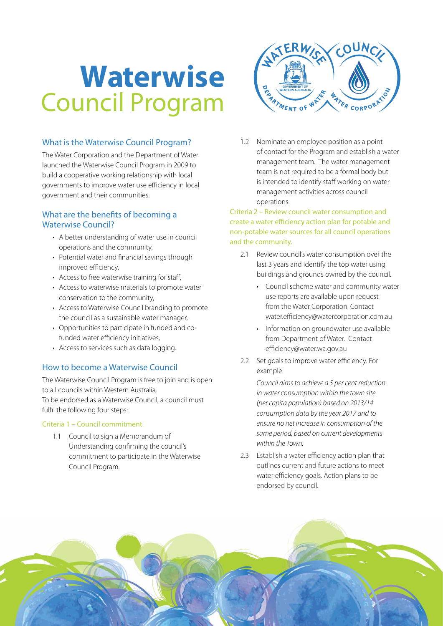# **Waterwise** Council Program

# What is the Waterwise Council Program?

The Water Corporation and the Department of Water launched the Waterwise Council Program in 2009 to build a cooperative working relationship with local governments to improve water use efficiency in local government and their communities.

## What are the benefits of becoming a Waterwise Council?

- A better understanding of water use in council operations and the community,
- Potential water and financial savings through improved efficiency,
- Access to free waterwise training for staff,
- Access to waterwise materials to promote water conservation to the community,
- Access to Waterwise Council branding to promote the council as a sustainable water manager,
- Opportunities to participate in funded and cofunded water efficiency initiatives,
- Access to services such as data logging.

## How to become a Waterwise Council

The Waterwise Council Program is free to join and is open to all councils within Western Australia. To be endorsed as a Waterwise Council, a council must fulfil the following four steps:

#### Criteria 1 – Council commitment

1.1 Council to sign a Memorandum of Understanding confirming the council's commitment to participate in the Waterwise Council Program.



1.2 Nominate an employee position as a point of contact for the Program and establish a water management team. The water management team is not required to be a formal body but is intended to identify staff working on water management activities across council operations.

Criteria 2 – Review council water consumption and create a water efficiency action plan for potable and non-potable water sources for all council operations and the community.

- 2.1 Review council's water consumption over the last 3 years and identify the top water using buildings and grounds owned by the council.
	- • Council scheme water and community water use reports are available upon request from the Water Corporation. Contact water.efficiency@watercorporation.com.au
	- Information on groundwater use available from Department of Water. Contact efficiency@water.wa.gov.au
- 2.2 Set goals to improve water efficiency. For example:

 *Council aims to achieve a 5 per cent reduction in water consumption within the town site (per capita population) based on 2013/14 consumption data by the year 2017 and to ensure no net increase in consumption of the same period, based on current developments within the Town.* 

2.3 Establish a water efficiency action plan that outlines current and future actions to meet water efficiency goals. Action plans to be endorsed by council.